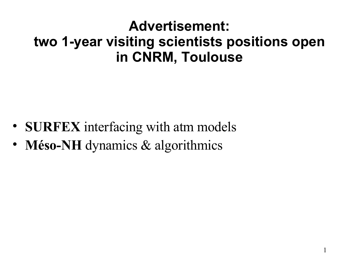### **Advertisement: two 1-year visiting scientists positions open in CNRM, Toulouse**

- **SURFEX** interfacing with atm models
- **Méso-NH** dynamics & algorithmics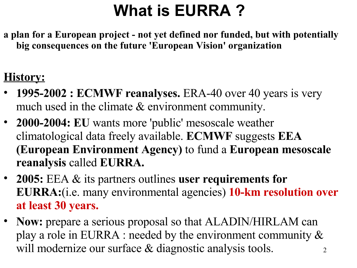# **What is EURRA ?**

**a plan for a European project - not yet defined nor funded, but with potentially big consequences on the future 'European Vision' organization**

#### **History:**

- **1995-2002 : ECMWF reanalyses.** ERA-40 over 40 years is very much used in the climate & environment community.
- **2000-2004: EU** wants more 'public' mesoscale weather climatological data freely available. **ECMWF** suggests **EEA (European Environment Agency)** to fund a **European mesoscale reanalysis** called **EURRA.**
- **2005:** EEA & its partners outlines **user requirements for EURRA:**(i.e. many environmental agencies) **10-km resolution over at least 30 years.**
- 2 • **Now:** prepare a serious proposal so that ALADIN/HIRLAM can play a role in EURRA : needed by the environment community & will modernize our surface & diagnostic analysis tools.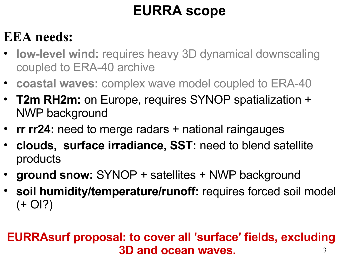### **EURRA scope**

### **EEA needs:**

- **low-level wind:** requires heavy 3D dynamical downscaling coupled to ERA-40 archive
- **coastal waves:** complex wave model coupled to ERA-40
- **T2m RH2m:** on Europe, requires SYNOP spatialization + NWP background
- **rr rr24:** need to merge radars + national raingauges
- **clouds, surface irradiance, SST:** need to blend satellite products
- **ground snow:** SYNOP + satellites + NWP background
- **soil humidity/temperature/runoff:** requires forced soil model  $(+$  OI?)

#### 3 **EURRAsurf proposal: to cover all 'surface' fields, excluding 3D and ocean waves.**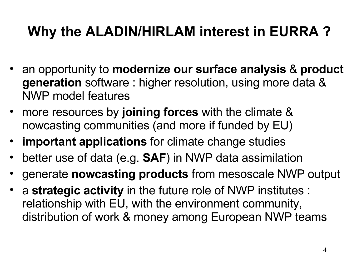### **Why the ALADIN/HIRLAM interest in EURRA ?**

- an opportunity to **modernize our surface analysis** & **product generation** software : higher resolution, using more data & NWP model features
- more resources by **joining forces** with the climate & nowcasting communities (and more if funded by EU)
- **important applications** for climate change studies
- better use of data (e.g. **SAF**) in NWP data assimilation
- generate **nowcasting products** from mesoscale NWP output
- a **strategic activity** in the future role of NWP institutes : relationship with EU, with the environment community, distribution of work & money among European NWP teams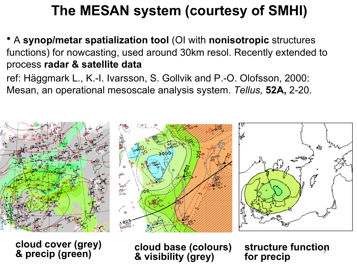### **The MESAN system (courtesy of SMHI)**

• A **synop/metar spatialization tool** (OI with **nonisotropic** structures functions) for nowcasting, used around 30km resol. Recently extended to process **radar & satellite data**

ref: Häggmark L., K.-I. Ivarsson, S. Gollvik and P.-O. Olofsson, 2000: Mesan, an operational mesoscale analysis system. *Tellus,* **52A,** 2-20.



**cloud cover (grey) & precip (green)**

**cloud base (colours) & visibility (grey)**

5 **structure function for precip**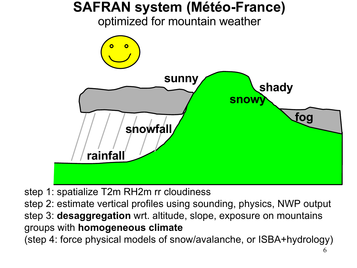

step 1: spatialize T2m RH2m rr cloudiness

step 2: estimate vertical profiles using sounding, physics, NWP output step 3: **desaggregation** wrt. altitude, slope, exposure on mountains groups with **homogeneous climate** (step 4: force physical models of snow/avalanche, or ISBA+hydrology)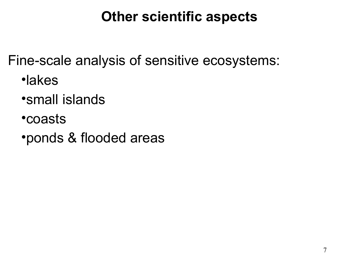### **Other scientific aspects**

Fine-scale analysis of sensitive ecosystems:

- •lakes
- •small islands
- •coasts
- •ponds & flooded areas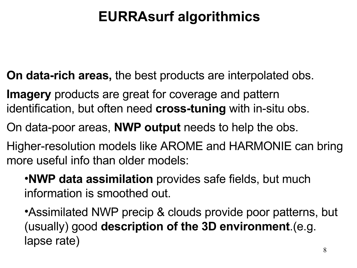### **EURRAsurf algorithmics**

- **On data-rich areas,** the best products are interpolated obs.
- **Imagery** products are great for coverage and pattern identification, but often need **cross-tuning** with in-situ obs.
- On data-poor areas, **NWP output** needs to help the obs.
- Higher-resolution models like AROME and HARMONIE can bring more useful info than older models:
	- •**NWP data assimilation** provides safe fields, but much information is smoothed out.
	- •Assimilated NWP precip & clouds provide poor patterns, but (usually) good **description of the 3D environment**.(e.g. lapse rate)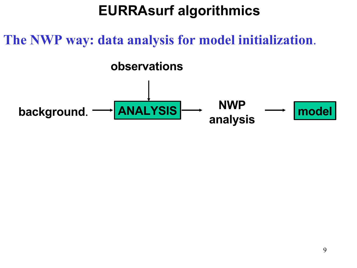### **EURRAsurf algorithmics**

### **The NWP way: data analysis for model initialization**.

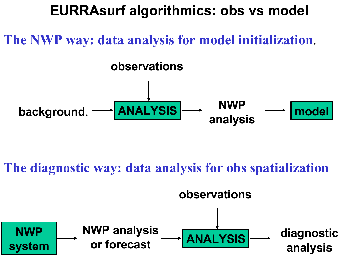### **EURRAsurf algorithmics: obs vs model**

### **The NWP way: data analysis for model initialization**.



### **The diagnostic way: data analysis for obs spatialization**

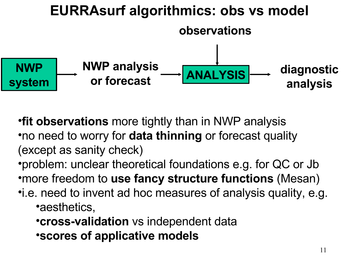#### **EURRAsurf algorithmics: obs vs model ANALYSIS observations NWP analysis or forecast diagnostic analysis NWP system**

•**fit observations** more tightly than in NWP analysis •no need to worry for **data thinning** or forecast quality (except as sanity check)

- •problem: unclear theoretical foundations e.g. for QC or Jb •more freedom to **use fancy structure functions** (Mesan)
- •i.e. need to invent ad hoc measures of analysis quality, e.g. •aesthetics,
	- •**cross-validation** vs independent data •**scores of applicative models**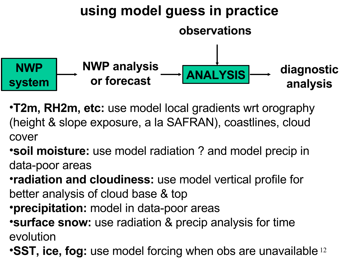

- •**T2m, RH2m, etc:** use model local gradients wrt orography (height & slope exposure, a la SAFRAN), coastlines, cloud cover
- •**soil moisture:** use model radiation ? and model precip in data-poor areas
- •**radiation and cloudiness:** use model vertical profile for better analysis of cloud base & top
- •**precipitation:** model in data-poor areas
- •**surface snow:** use radiation & precip analysis for time evolution
- **•SST, ice, fog:** use model forcing when obs are unavailable<sup>12</sup>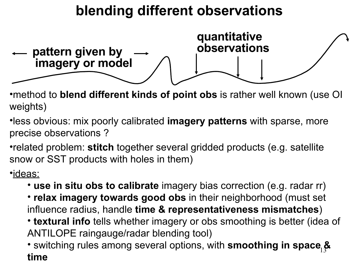### **blending different observations**



•method to **blend different kinds of point obs** is rather well known (use OI weights)

•less obvious: mix poorly calibrated **imagery patterns** with sparse, more precise observations ?

•related problem: **stitch** together several gridded products (e.g. satellite snow or SST products with holes in them)

•ideas:

- **use in situ obs to calibrate** imagery bias correction (e.g. radar rr)
- **relax imagery towards good obs** in their neighborhood (must set influence radius, handle **time & representativeness mismatches**)
- **textural info** tells whether imagery or obs smoothing is better (idea of ANTILOPE raingauge/radar blending tool)

13 • switching rules among several options, with **smoothing in space & time**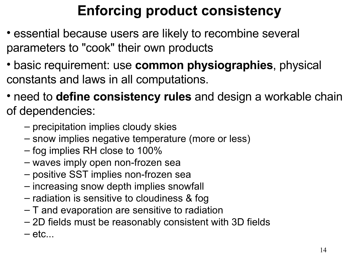## **Enforcing product consistency**

- essential because users are likely to recombine several parameters to "cook" their own products
- basic requirement: use **common physiographies**, physical constants and laws in all computations.
- need to **define consistency rules** and design a workable chain of dependencies:
	- precipitation implies cloudy skies
	- snow implies negative temperature (more or less)
	- fog implies RH close to 100%
	- waves imply open non-frozen sea
	- positive SST implies non-frozen sea
	- increasing snow depth implies snowfall
	- radiation is sensitive to cloudiness & fog
	- T and evaporation are sensitive to radiation
	- 2D fields must be reasonably consistent with 3D fields
	- $-\text{etc}$ ...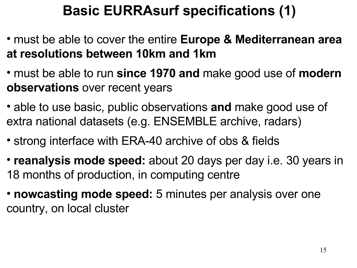### **Basic EURRAsurf specifications (1)**

- must be able to cover the entire **Europe & Mediterranean area at resolutions between 10km and 1km**
- must be able to run **since 1970 and** make good use of **modern observations** over recent years
- able to use basic, public observations **and** make good use of extra national datasets (e.g. ENSEMBLE archive, radars)
- strong interface with ERA-40 archive of obs & fields
- **reanalysis mode speed:** about 20 days per day i.e. 30 years in 18 months of production, in computing centre
- **nowcasting mode speed:** 5 minutes per analysis over one country, on local cluster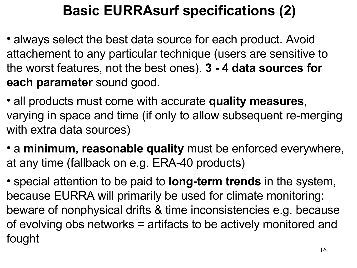### **Basic EURRAsurf specifications (2)**

- always select the best data source for each product. Avoid attachement to any particular technique (users are sensitive to the worst features, not the best ones). **3 - 4 data sources for each parameter** sound good.
- all products must come with accurate **quality measures**, varying in space and time (if only to allow subsequent re-merging with extra data sources)
- a **minimum, reasonable quality** must be enforced everywhere, at any time (fallback on e.g. ERA-40 products)
- special attention to be paid to **long-term trends** in the system, because EURRA will primarily be used for climate monitoring: beware of nonphysical drifts & time inconsistencies e.g. because of evolving obs networks = artifacts to be actively monitored and fought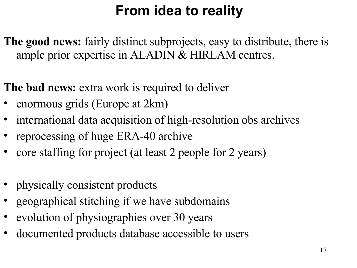## **From idea to reality**

**The good news:** fairly distinct subprojects, easy to distribute, there is ample prior expertise in ALADIN & HIRLAM centres.

**The bad news:** extra work is required to deliver

- enormous grids (Europe at 2km)
- international data acquisition of high-resolution obs archives
- reprocessing of huge ERA-40 archive
- core staffing for project (at least 2 people for 2 years)
- physically consistent products
- geographical stitching if we have subdomains
- evolution of physiographies over 30 years
- documented products database accessible to users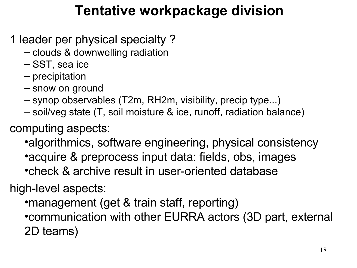### **Tentative workpackage division**

1 leader per physical specialty ?

- clouds & downwelling radiation
- SST, sea ice
- precipitation
- snow on ground
- synop observables (T2m, RH2m, visibility, precip type...)
- soil/veg state (T, soil moisture & ice, runoff, radiation balance)

computing aspects:

•algorithmics, software engineering, physical consistency •acquire & preprocess input data: fields, obs, images •check & archive result in user-oriented database

high-level aspects:

•management (get & train staff, reporting) •communication with other EURRA actors (3D part, external 2D teams)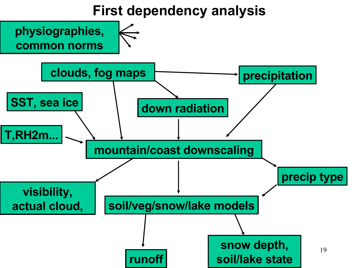### **First dependency analysis**

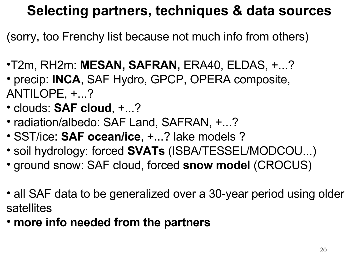### **Selecting partners, techniques & data sources**

(sorry, too Frenchy list because not much info from others)

- •T2m, RH2m: **MESAN, SAFRAN,** ERA40, ELDAS, +...? • precip: **INCA**, SAF Hydro, GPCP, OPERA composite,
- ANTILOPE, +...?
- clouds: **SAF cloud**, +...?
- radiation/albedo: SAF Land, SAFRAN, +...?
- SST/ice: **SAF ocean/ice**, +...? lake models ?
- soil hydrology: forced **SVATs** (ISBA/TESSEL/MODCOU...)
- ground snow: SAF cloud, forced **snow model** (CROCUS)
- all SAF data to be generalized over a 30-year period using older satellites
- **more info needed from the partners**